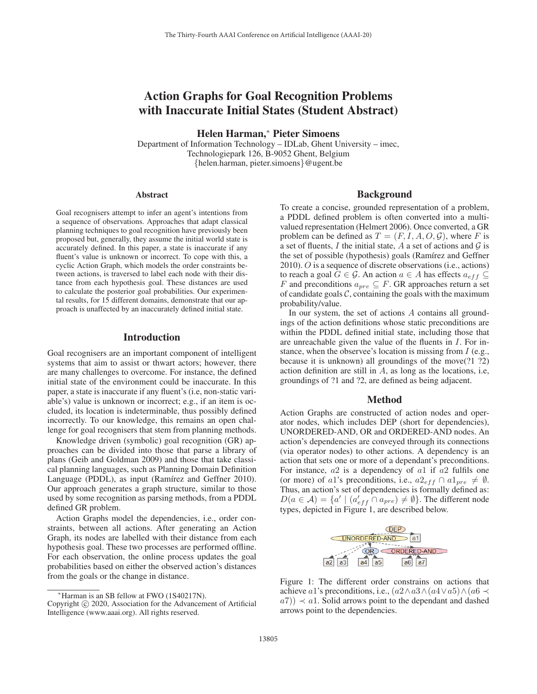# Action Graphs for Goal Recognition Problems with Inaccurate Initial States (Student Abstract)

Helen Harman,<sup>∗</sup> Pieter Simoens

Department of Information Technology – IDLab, Ghent University – imec, Technologiepark 126, B-9052 Ghent, Belgium {helen.harman, pieter.simoens}@ugent.be

#### **Abstract**

Goal recognisers attempt to infer an agent's intentions from a sequence of observations. Approaches that adapt classical planning techniques to goal recognition have previously been proposed but, generally, they assume the initial world state is accurately defined. In this paper, a state is inaccurate if any fluent's value is unknown or incorrect. To cope with this, a cyclic Action Graph, which models the order constraints between actions, is traversed to label each node with their distance from each hypothesis goal. These distances are used to calculate the posterior goal probabilities. Our experimental results, for 15 different domains, demonstrate that our approach is unaffected by an inaccurately defined initial state.

### Introduction

Goal recognisers are an important component of intelligent systems that aim to assist or thwart actors; however, there are many challenges to overcome. For instance, the defined initial state of the environment could be inaccurate. In this paper, a state is inaccurate if any fluent's (i.e, non-static variable's) value is unknown or incorrect; e.g., if an item is occluded, its location is indeterminable, thus possibly defined incorrectly. To our knowledge, this remains an open challenge for goal recognisers that stem from planning methods.

Knowledge driven (symbolic) goal recognition (GR) approaches can be divided into those that parse a library of plans (Geib and Goldman 2009) and those that take classical planning languages, such as Planning Domain Definition Language (PDDL), as input (Ramírez and Geffner 2010). Our approach generates a graph structure, similar to those used by some recognition as parsing methods, from a PDDL defined GR problem.

Action Graphs model the dependencies, i.e., order constraints, between all actions. After generating an Action Graph, its nodes are labelled with their distance from each hypothesis goal. These two processes are performed offline. For each observation, the online process updates the goal probabilities based on either the observed action's distances from the goals or the change in distance.

#### Background

To create a concise, grounded representation of a problem, a PDDL defined problem is often converted into a multivalued representation (Helmert 2006). Once converted, a GR problem can be defined as  $T = (F, I, A, O, \mathcal{G})$ , where F is a set of fluents,  $I$  the initial state,  $A$  a set of actions and  $G$  is the set of possible (hypothesis) goals (Ramírez and Geffner 2010). O is a sequence of discrete observations (i.e., actions) to reach a goal  $G \in \mathcal{G}$ . An action  $a \in A$  has effects  $a_{eff} \subseteq$ F and preconditions  $a_{pre} \subseteq F$ . GR approaches return a set of candidate goals  $C$ , containing the goals with the maximum probability/value.

In our system, the set of actions A contains all groundings of the action definitions whose static preconditions are within the PDDL defined initial state, including those that are unreachable given the value of the fluents in I. For instance, when the observee's location is missing from I (e.g., because it is unknown) all groundings of the move(?1 ?2) action definition are still in A, as long as the locations, i.e, groundings of ?1 and ?2, are defined as being adjacent.

#### Method

Action Graphs are constructed of action nodes and operator nodes, which includes DEP (short for dependencies), UNORDERED-AND, OR and ORDERED-AND nodes. An action's dependencies are conveyed through its connections (via operator nodes) to other actions. A dependency is an action that sets one or more of a dependant's preconditions. For instance,  $a2$  is a dependency of  $a1$  if  $a2$  fulfils one (or more) of a1's preconditions, i.e.,  $a2_{eff} \cap a1_{pre} \neq \emptyset$ . Thus, an action's set of dependencies is formally defined as:  $D(a \in \mathcal{A}) = \{a' \mid (a'_{eff} \cap a_{pre}) \neq \emptyset\}.$  The different node types, depicted in Figure 1, are described below.



Figure 1: The different order constrains on actions that achieve a1's preconditions, i.e.,  $(a2 \wedge a3 \wedge (a4 \vee a5) \wedge (a6 \prec$  $a(7)$   $\prec a(1)$ . Solid arrows point to the dependant and dashed arrows point to the dependencies.

<sup>∗</sup>Harman is an SB fellow at FWO (1S40217N).

Copyright  $\odot$  2020, Association for the Advancement of Artificial Intelligence (www.aaai.org). All rights reserved.